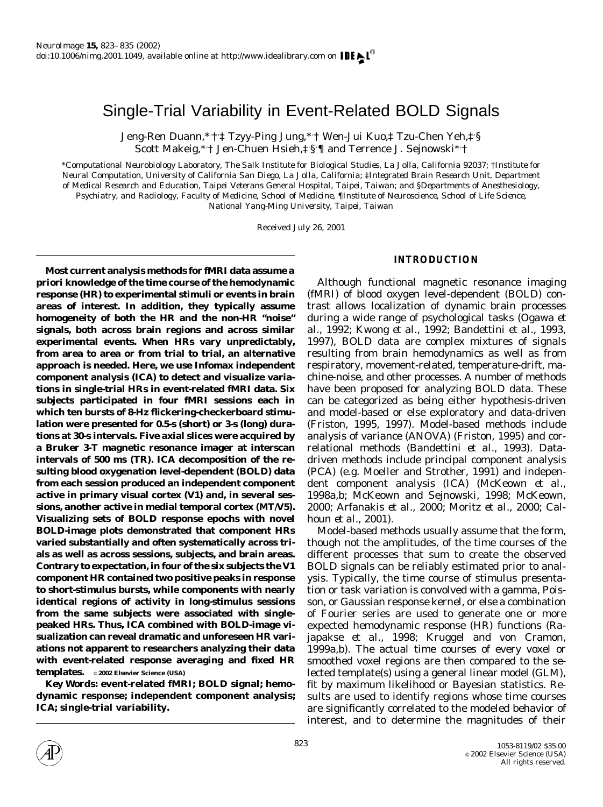# Single-Trial Variability in Event-Related BOLD Signals

Jeng-Ren Duann,\*††‡ Tzyy-Ping Jung,\*† Wen-Jui Kuo,‡ Tzu-Chen Yeh,‡§ Scott Makeig,\*<sup>+</sup> Jen-Chuen Hsieh,‡'§'¶ and Terrence J. Sejnowski\*'†

\**Computational Neurobiology Laboratory, The Salk Institute for Biological Studies, La Jolla, California 92037;* †*Institute for Neural Computation, University of California San Diego, La Jolla, California;* ‡*Integrated Brain Research Unit, Department of Medical Research and Education, Taipei Veterans General Hospital, Taipei, Taiwan; and* §*Departments of Anesthesiology, Psychiatry, and Radiology, Faculty of Medicine, School of Medicine,* ¶*Institute of Neuroscience, School of Life Science, National Yang-Ming University, Taipei, Taiwan*

Received July 26, 2001

## **INTRODUCTION**

**Most current analysis methods for fMRI data assume** *a priori* **knowledge of the time course of the hemodynamic response (HR) to experimental stimuli or events in brain areas of interest. In addition, they typically assume homogeneity of both the HR and the non-HR "noise" signals, both across brain regions and across similar experimental events. When HRs vary unpredictably, from area to area or from trial to trial, an alternative approach is needed. Here, we use Infomax independent component analysis (ICA) to detect and visualize variations in single-trial HRs in event-related fMRI data. Six subjects participated in four fMRI sessions each in which ten bursts of 8-Hz flickering-checkerboard stimulation were presented for 0.5-s (short) or 3-s (long) durations at 30-s intervals. Five axial slices were acquired by a Bruker 3-T magnetic resonance imager at interscan intervals of 500 ms (TR). ICA decomposition of the resulting blood oxygenation level-dependent (BOLD) data from each session produced an independent component active in primary visual cortex (V1) and, in several sessions, another active in medial temporal cortex (MT/V5). Visualizing sets of BOLD response epochs with novel BOLD-image plots demonstrated that component HRs varied substantially and often systematically across trials as well as across sessions, subjects, and brain areas. Contrary to expectation, in four of the six subjects the V1 component HR contained two positive peaks in response to short-stimulus bursts, while components with nearly identical regions of activity in long-stimulus sessions from the same subjects were associated with singlepeaked HRs. Thus, ICA combined with BOLD-image visualization can reveal dramatic and unforeseen HR variations not apparent to researchers analyzing their data with event-related response averaging and fixed HR templates.** © **2002 Elsevier Science (USA)**

*Key Words:* **event-related fMRI; BOLD signal; hemodynamic response; independent component analysis; ICA; single-trial variability.**

Although functional magnetic resonance imaging (fMRI) of blood oxygen level-dependent (BOLD) contrast allows localization of dynamic brain processes during a wide range of psychological tasks (Ogawa *et al.*, 1992; Kwong *et al.*, 1992; Bandettini *et al.*, 1993, 1997), BOLD data are complex mixtures of signals resulting from brain hemodynamics as well as from respiratory, movement-related, temperature-drift, machine-noise, and other processes. A number of methods have been proposed for analyzing BOLD data. These can be categorized as being either hypothesis-driven and model-based or else exploratory and data-driven (Friston, 1995, 1997). Model-based methods include analysis of variance (ANOVA) (Friston, 1995) and correlational methods (Bandettini *et al.*, 1993). Datadriven methods include principal component analysis (PCA) (e.g. Moeller and Strother, 1991) and independent component analysis (ICA) (McKeown *et al.*, 1998a,b; McKeown and Sejnowski, 1998; McKeown, 2000; Arfanakis *et al.*, 2000; Moritz *et al.*, 2000; Calhoun *et al.*, 2001).

Model-based methods usually assume that the form, though not the amplitudes, of the time courses of the different processes that sum to create the observed BOLD signals can be reliably estimated prior to analysis. Typically, the time course of stimulus presentation or task variation is convolved with a gamma, Poisson, or Gaussian response kernel, or else a combination of Fourier series are used to generate one or more expected hemodynamic response (HR) functions (Rajapakse *et al.*, 1998; Kruggel and von Cramon, 1999a,b). The actual time courses of every voxel or smoothed voxel regions are then compared to the selected template(s) using a general linear model (GLM), fit by maximum likelihood or Bayesian statistics. Results are used to identify regions whose time courses are significantly correlated to the modeled behavior of interest, and to determine the magnitudes of their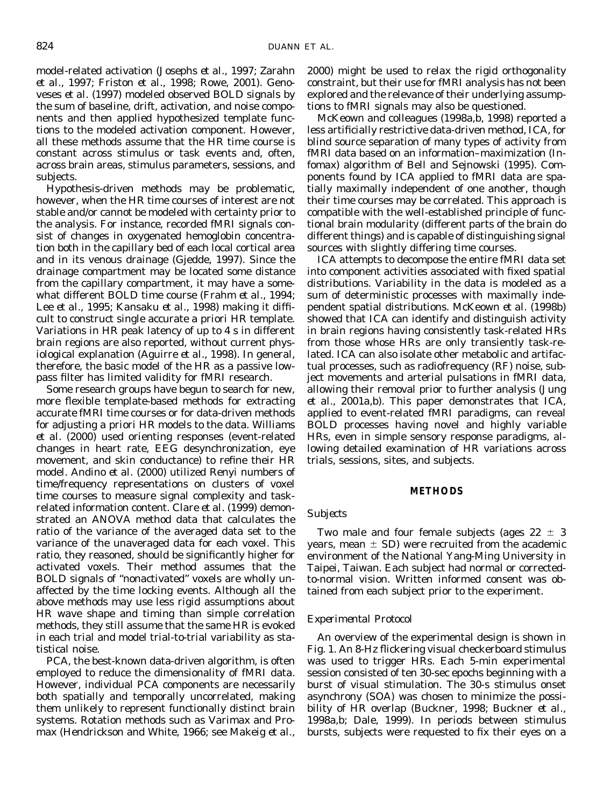model-related activation (Josephs *et al.*, 1997; Zarahn *et al.*, 1997; Friston *et al.*, 1998; Rowe, 2001). Genoveses *et al.* (1997) modeled observed BOLD signals by the sum of baseline, drift, activation, and noise components and then applied hypothesized template functions to the modeled activation component. However, all these methods assume that the HR time course is constant across stimulus or task events and, often, across brain areas, stimulus parameters, sessions, and subjects.

Hypothesis-driven methods may be problematic, however, when the HR time courses of interest are not stable and/or cannot be modeled with certainty prior to the analysis. For instance, recorded fMRI signals consist of changes in oxygenated hemoglobin concentration both in the capillary bed of each local cortical area and in its venous drainage (Gjedde, 1997). Since the drainage compartment may be located some distance from the capillary compartment, it may have a somewhat different BOLD time course (Frahm *et al.*, 1994; Lee *et al.*, 1995; Kansaku *et al.*, 1998) making it difficult to construct single accurate *a priori* HR template. Variations in HR peak latency of up to 4 s in different brain regions are also reported, without current physiological explanation (Aguirre *et al.*, 1998). In general, therefore, the basic model of the HR as a passive lowpass filter has limited validity for fMRI research.

Some research groups have begun to search for new, more flexible template-based methods for extracting accurate fMRI time courses or for data-driven methods for adjusting *a priori* HR models to the data. Williams *et al.* (2000) used orienting responses (event-related changes in heart rate, EEG desynchronization, eye movement, and skin conductance) to refine their HR model. Andino *et al.* (2000) utilized Renyi numbers of time/frequency representations on clusters of voxel time courses to measure signal complexity and taskrelated information content. Clare *et al.* (1999) demonstrated an ANOVA method data that calculates the ratio of the variance of the averaged data set to the variance of the unaveraged data for each voxel. This ratio, they reasoned, should be significantly higher for activated voxels. Their method assumes that the BOLD signals of "nonactivated" voxels are wholly unaffected by the time locking events. Although all the above methods may use less rigid assumptions about HR wave shape and timing than simple correlation methods, they still assume that the same HR is evoked in each trial and model trial-to-trial variability as statistical noise.

PCA, the best-known data-driven algorithm, is often employed to reduce the dimensionality of fMRI data. However, individual PCA components are necessarily both spatially and temporally uncorrelated, making them unlikely to represent functionally distinct brain systems. Rotation methods such as Varimax and Promax (Hendrickson and White, 1966; see Makeig *et al.*, 2000) might be used to relax the rigid orthogonality constraint, but their use for fMRI analysis has not been explored and the relevance of their underlying assumptions to fMRI signals may also be questioned.

McKeown and colleagues (1998a,b, 1998) reported a less artificially restrictive data-driven method, ICA, for blind source separation of many types of activity from fMRI data based on an information–maximization (Infomax) algorithm of Bell and Sejnowski (1995). Components found by ICA applied to fMRI data are spatially maximally independent of one another, though their time courses may be correlated. This approach is compatible with the well-established principle of functional brain modularity (different parts of the brain do different things) and is capable of distinguishing signal sources with slightly differing time courses.

ICA attempts to decompose the entire fMRI data set into component activities associated with fixed spatial distributions. Variability in the data is modeled as a sum of deterministic processes with maximally independent spatial distributions. McKeown *et al.* (1998b) showed that ICA can identify and distinguish activity in brain regions having consistently task-related HRs from those whose HRs are only transiently task-related. ICA can also isolate other metabolic and artifactual processes, such as radiofrequency (RF) noise, subject movements and arterial pulsations in fMRI data, allowing their removal prior to further analysis (Jung *et al.*, 2001a,b). This paper demonstrates that ICA, applied to event-related fMRI paradigms, can reveal BOLD processes having novel and highly variable HRs, even in simple sensory response paradigms, allowing detailed examination of HR variations across trials, sessions, sites, and subjects.

## **METHODS**

## *Subjects*

Two male and four female subjects (ages  $22 \pm 3$ years, mean  $\pm$  SD) were recruited from the academic environment of the National Yang-Ming University in Taipei, Taiwan. Each subject had normal or correctedto-normal vision. Written informed consent was obtained from each subject prior to the experiment.

## *Experimental Protocol*

An overview of the experimental design is shown in Fig. 1. An 8-Hz flickering visual checkerboard stimulus was used to trigger HRs. Each 5-min experimental session consisted of ten 30-sec epochs beginning with a burst of visual stimulation. The 30-s stimulus onset asynchrony (SOA) was chosen to minimize the possibility of HR overlap (Buckner, 1998; Buckner *et al.*, 1998a,b; Dale, 1999). In periods between stimulus bursts, subjects were requested to fix their eyes on a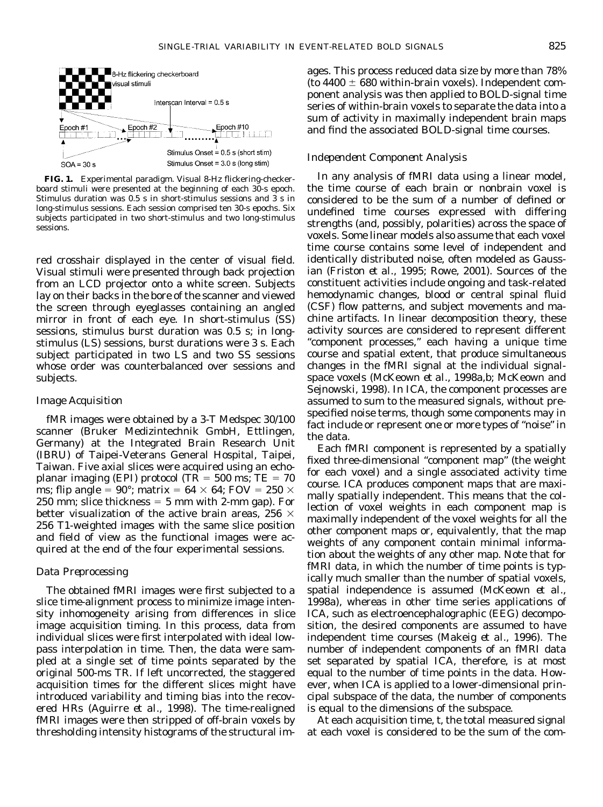

**FIG. 1.** Experimental paradigm. Visual 8-Hz flickering-checkerboard stimuli were presented at the beginning of each 30-s epoch. Stimulus duration was 0.5 s in short-stimulus sessions and 3 s in long-stimulus sessions. Each session comprised ten 30-s epochs. Six subjects participated in two short-stimulus and two long-stimulus sessions.

red crosshair displayed in the center of visual field. Visual stimuli were presented through back projection from an LCD projector onto a white screen. Subjects lay on their backs in the bore of the scanner and viewed the screen through eyeglasses containing an angled mirror in front of each eye. In short-stimulus (SS) sessions, stimulus burst duration was 0.5 s; in longstimulus (LS) sessions, burst durations were 3 s. Each subject participated in two LS and two SS sessions whose order was counterbalanced over sessions and subjects.

#### *Image Acquisition*

fMR images were obtained by a 3-T Medspec 30/100 scanner (Bruker Medizintechnik GmbH, Ettlingen, Germany) at the Integrated Brain Research Unit (IBRU) of Taipei-Veterans General Hospital, Taipei, Taiwan. Five axial slices were acquired using an echoplanar imaging (EPI) protocol (TR = 500 ms; TE = 70  $\,$ ms; flip angle = 90°; matrix = 64  $\times$  64; FOV = 250  $\times$  $250$  mm; slice thickness  $=5$  mm with 2-mm gap). For better visualization of the active brain areas, 256  $\times$ 256 T1-weighted images with the same slice position and field of view as the functional images were acquired at the end of the four experimental sessions.

#### *Data Preprocessing*

The obtained fMRI images were first subjected to a slice time-alignment process to minimize image intensity inhomogeneity arising from differences in slice image acquisition timing. In this process, data from individual slices were first interpolated with ideal lowpass interpolation in time. Then, the data were sampled at a single set of time points separated by the original 500-ms TR. If left uncorrected, the staggered acquisition times for the different slices might have introduced variability and timing bias into the recovered HRs (Aguirre *et al.*, 1998). The time-realigned fMRI images were then stripped of off-brain voxels by thresholding intensity histograms of the structural images. This process reduced data size by more than 78% (to  $4400 \pm 680$  within-brain voxels). Independent component analysis was then applied to BOLD-signal time series of within-brain voxels to separate the data into a sum of activity in maximally independent brain maps and find the associated BOLD-signal time courses.

## *Independent Component Analysis*

In any analysis of fMRI data using a linear model, the time course of each brain or nonbrain voxel is considered to be the sum of a number of defined or undefined time courses expressed with differing strengths (and, possibly, polarities) across the space of voxels. Some linear models also assume that each voxel time course contains some level of independent and identically distributed noise, often modeled as Gaussian (Friston *et al.*, 1995; Rowe, 2001). Sources of the constituent activities include ongoing and task-related hemodynamic changes, blood or central spinal fluid (CSF) flow patterns, and subject movements and machine artifacts. In linear decomposition theory, these activity sources are considered to represent different "component processes," each having a unique time course and spatial extent, that produce simultaneous changes in the fMRI signal at the individual signalspace voxels (McKeown *et al.*, 1998a,b; McKeown and Sejnowski, 1998). In ICA, the component processes are assumed to sum to the measured signals, without prespecified noise terms, though some components may in fact include or represent one or more types of "noise" in the data.

Each fMRI component is represented by a spatially fixed three-dimensional "component map" (the weight for each voxel) and a single associated activity time course. ICA produces component maps that are maximally spatially independent. This means that the collection of voxel weights in each component map is maximally independent of the voxel weights for all the other component maps or, equivalently, that the map weights of any component contain minimal information about the weights of any other map. Note that for fMRI data, in which the number of time points is typically much smaller than the number of spatial voxels, spatial independence is assumed (McKeown *et al.*, 1998a), whereas in other time series applications of ICA, such as electroencephalographic (EEG) decomposition, the desired components are assumed to have independent time courses (Makeig *et al.*, 1996). The number of independent components of an fMRI data set separated by spatial ICA, therefore, is at most equal to the number of time points in the data. However, when ICA is applied to a lower-dimensional principal subspace of the data, the number of components is equal to the dimensions of the subspace.

At each acquisition time, *t,* the total measured signal at each voxel is considered to be the sum of the com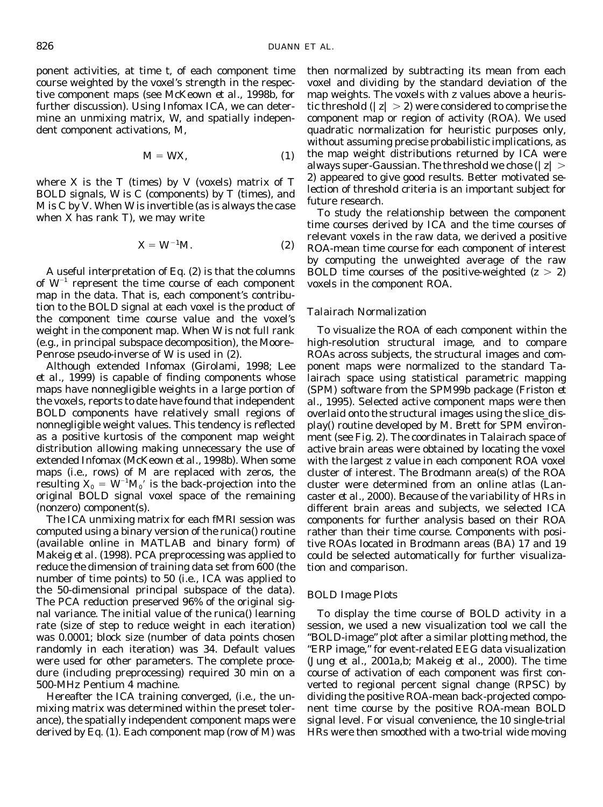ponent activities, at time *t,* of each component time course weighted by the voxel's strength in the respective component maps (see McKeown *et al.*, 1998b, for further discussion). Using Infomax ICA, we can determine an unmixing matrix, *W,* and spatially independent component activations, *M,*

$$
M = W X, \tag{1}
$$

where  $X$  is the  $T$  (times) by  $V$  (voxels) matrix of  $T$ BOLD signals, *W* is *C* (components) by *T* (times), and *M* is *C* by *V.* When *W* is invertible (as is always the case when *X* has rank *T*), we may write

$$
X = W^{-1}M.
$$
 (2)

A useful interpretation of Eq. (2) is that the columns of  $W^{-1}$  represent the time course of each component map in the data. That is, each component's contribution to the BOLD signal at each voxel is the product of the component time course value and the voxel's weight in the component map. When *W* is not full rank (e.g., in principal subspace decomposition), the Moore– Penrose pseudo-inverse of *W* is used in (2).

Although extended Infomax (Girolami, 1998; Lee *et al.*, 1999) is capable of finding components whose maps have nonnegligible weights in a large portion of the voxels, reports to date have found that independent BOLD components have relatively small regions of nonnegligible weight values. This tendency is reflected as a positive kurtosis of the component map weight distribution allowing making unnecessary the use of extended Infomax (McKeown *et al.*, 1998b). When some maps (i.e., rows) of *M* are replaced with zeros, the resulting  $X_0 = W^{-1}M_0'$  is the back-projection into the original BOLD signal voxel space of the remaining (nonzero) component(s).

The ICA unmixing matrix for each fMRI session was computed using a binary version of the *runica()* routine (available online in MATLAB and binary form) of Makeig *et al.* (1998). PCA preprocessing was applied to reduce the dimension of training data set from 600 (the number of time points) to 50 (i.e., ICA was applied to the 50-dimensional principal subspace of the data). The PCA reduction preserved 96% of the original signal variance. The initial value of the *runica()* learning rate (size of step to reduce weight in each iteration) was 0.0001; block size (number of data points chosen randomly in each iteration) was 34. Default values were used for other parameters. The complete procedure (including preprocessing) required 30 min on a 500-MHz Pentium 4 machine.

Hereafter the ICA training converged, (i.e., the unmixing matrix was determined within the preset tolerance), the spatially independent component maps were derived by Eq. (1). Each component map (row of *M*) was then normalized by subtracting its mean from each voxel and dividing by the standard deviation of the map weights. The voxels with *z* values above a heuristic threshold  $(|z| > 2)$  were considered to comprise the component map or region of activity (ROA). We used quadratic normalization for heuristic purposes only, without assuming precise probabilistic implications, as the map weight distributions returned by ICA were always super-Gaussian. The threshold we chose (|*z*| 2) appeared to give good results. Better motivated selection of threshold criteria is an important subject for future research.

To study the relationship between the component time courses derived by ICA and the time courses of relevant voxels in the raw data, we derived a positive ROA-mean time course for each component of interest by computing the unweighted average of the raw BOLD time courses of the positive-weighted  $(z > 2)$ voxels in the component ROA.

# *Talairach Normalization*

To visualize the ROA of each component within the high-resolution structural image, and to compare ROAs across subjects, the structural images and component maps were normalized to the standard Talairach space using statistical parametric mapping (SPM) software from the SPM99b package (Friston *et al.*, 1995). Selected active component maps were then overlaid onto the structural images using the *slice\_display()* routine developed by M. Brett for SPM environment (see Fig. 2). The coordinates in Talairach space of active brain areas were obtained by locating the voxel with the largest *z* value in each component ROA voxel cluster of interest. The Brodmann area(s) of the ROA cluster were determined from an online atlas (Lancaster *et al.*, 2000). Because of the variability of HRs in different brain areas and subjects, we selected ICA components for further analysis based on their ROA rather than their time course. Components with positive ROAs located in Brodmann areas (BA) 17 and 19 could be selected automatically for further visualization and comparison.

## *BOLD Image Plots*

To display the time course of BOLD activity in a session, we used a new visualization tool we call the "BOLD-image" plot after a similar plotting method, the "ERP image," for event-related EEG data visualization (Jung *et al.*, 2001a,b; Makeig *et al.*, 2000). The time course of activation of each component was first converted to regional percent signal change (RPSC) by dividing the positive ROA-mean back-projected component time course by the positive ROA-mean BOLD signal level. For visual convenience, the 10 single-trial HRs were then smoothed with a two-trial wide moving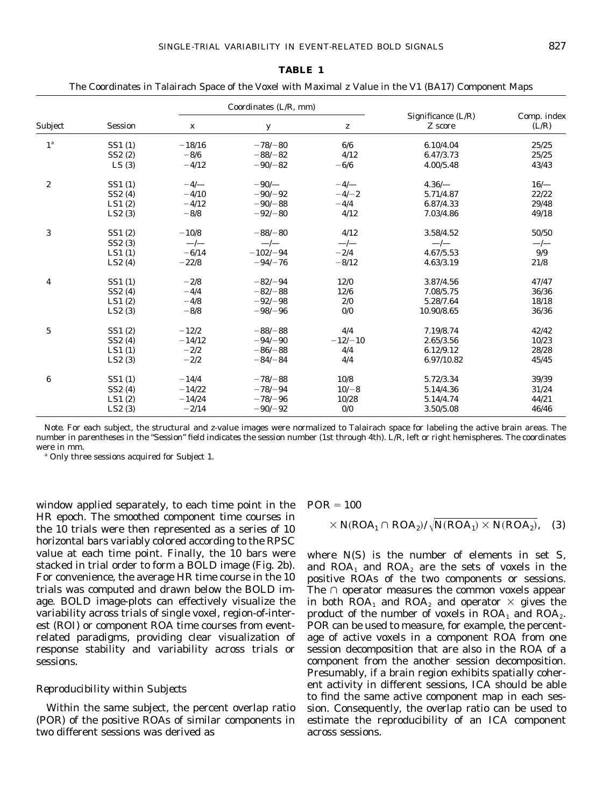#### **TABLE 1**

The Coordinates in Talairach Space of the Voxel with Maximal *z* Value in the V1 (BA17) Component Maps

| Subject          | <b>Session</b> | Coordinates (L/R, mm) |             |                  |                                 |                      |
|------------------|----------------|-----------------------|-------------|------------------|---------------------------------|----------------------|
|                  |                | $\boldsymbol{X}$      | У           | $\boldsymbol{Z}$ | Significance (L/R)<br>$Z$ score | Comp. index<br>(L/R) |
| 1 <sup>a</sup>   | SS1(1)         | $-18/16$              | $-78/-80$   | 6/6              | 6.10/4.04                       | 25/25                |
|                  | SS2(2)         | $-8/6$                | $-88/-82$   | 4/12             | 6.47/3.73                       | 25/25                |
|                  | LS(3)          | $-4/12$               | $-90/-82$   | $-6/6$           | 4.00/5.48                       | 43/43                |
| $\boldsymbol{2}$ | SS1(1)         | $-4/$                 | $-90/$      | $-4/$            | $4.36/-$                        | 16/                  |
|                  | SS2(4)         | $-4/10$               | $-90/ -92$  | $-4/-2$          | 5.71/4.87                       | 22/22                |
|                  | LS1(2)         | $-4/12$               | $-90/-88$   | $-4/4$           | 6.87/4.33                       | 29/48                |
|                  | LS2(3)         | $-8/8$                | $-92/-80$   | 4/12             | 7.03/4.86                       | 49/18                |
| 3                | SS1(2)         | $-10/8$               | $-88/-80$   | 4/12             | 3.58/4.52                       | 50/50                |
|                  | SS2(3)         | $-/-$                 | $-/-$       | $-/-$            | $-/-$                           | $-\prime -$          |
|                  | LS1(1)         | $-6/14$               | $-102/-94$  | $-2/4$           | 4.67/5.53                       | 9/9                  |
|                  | LS2(4)         | $-22/8$               | $-94/-76$   | $-8/12$          | 4.63/3.19                       | 21/8                 |
| $\boldsymbol{4}$ | SS1(1)         | $-2/8$                | $-82/-94$   | 12/0             | 3.87/4.56                       | 47/47                |
|                  | SS2(4)         | $-4/4$                | $-82/-88$   | 12/6             | 7.08/5.75                       | 36/36                |
|                  | LS1(2)         | $-4/8$                | $-92/-98$   | 2/0              | 5.28/7.64                       | 18/18                |
|                  | LS2(3)         | $-8/8$                | $-98/ - 96$ | 0/0              | 10.90/8.65                      | 36/36                |
| 5                | SS1(2)         | $-12/2$               | $-88/ - 88$ | 4/4              | 7.19/8.74                       | 42/42                |
|                  | SS2 (4)        | $-14/12$              | $-94/-90$   | $-12/-10$        | 2.65/3.56                       | 10/23                |
|                  | LS1(1)         | $-2/2$                | $-86/-88$   | 4/4              | 6.12/9.12                       | 28/28                |
|                  | LS2(3)         | $-2/2$                | $-84/-84$   | 4/4              | 6.97/10.82                      | 45/45                |
| 6                | SS1 (1)        | $-14/4$               | $-78/ -88$  | 10/8             | 5.72/3.34                       | 39/39                |
|                  | SS2(4)         | $-14/22$              | $-78/ -94$  | $10/-8$          | 5.14/4.36                       | 31/24                |
|                  | LS1(2)         | $-14/24$              | $-78/ -96$  | 10/28            | 5.14/4.74                       | 44/21                |
|                  | LS2(3)         | $-2/14$               | $-90/-92$   | 0/0              | 3.50/5.08                       | 46/46                |

*Note.* For each subject, the structural and *z*-value images were normalized to Talairach space for labeling the active brain areas. The number in parentheses in the "Session" field indicates the session number (1st through 4th). L/R, left or right hemispheres. The coordinates were in mm.

*<sup>a</sup>* Only three sessions acquired for Subject 1.

window applied separately, to each time point in the HR epoch. The smoothed component time courses in the 10 trials were then represented as a series of 10 horizontal bars variably colored according to the RPSC value at each time point. Finally, the 10 bars were stacked in trial order to form a BOLD image (Fig. 2b). For convenience, the average HR time course in the 10 trials was computed and drawn below the BOLD image. BOLD image-plots can effectively visualize the variability across trials of single voxel, region-of-interest (ROI) or component ROA time courses from eventrelated paradigms, providing clear visualization of response stability and variability across trials or sessions.

## *Reproducibility within Subjects*

Within the same subject, the percent overlap ratio (POR) of the positive ROAs of similar components in two different sessions was derived as

### $POR = 100$

$$
\times N(ROA_1 \cap ROA_2) / \sqrt{N(ROA_1) \times N(ROA_2)},
$$
 (3)

where *N*(*S*) is the number of elements in set *S,* and  $ROA_1$  and  $ROA_2$  are the sets of voxels in the positive ROAs of the two components or sessions. The  $\cap$  operator measures the common voxels appear in both ROA<sub>1</sub> and ROA<sub>2</sub> and operator  $\times$  gives the product of the number of voxels in  $ROA<sub>1</sub>$  and  $ROA<sub>2</sub>$ . POR can be used to measure, for example, the percentage of active voxels in a component ROA from one session decomposition that are also in the ROA of a component from the another session decomposition. Presumably, if a brain region exhibits spatially coherent activity in different sessions, ICA should be able to find the same active component map in each session. Consequently, the overlap ratio can be used to estimate the reproducibility of an ICA component across sessions.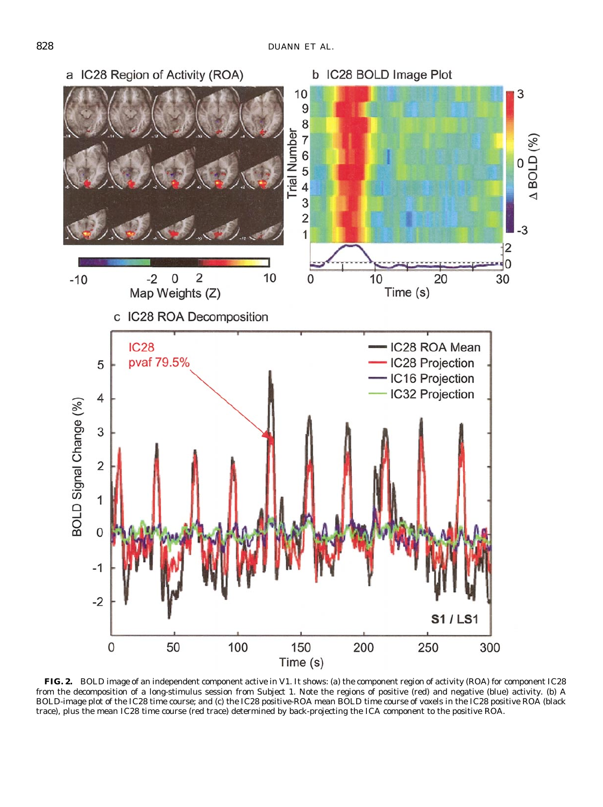

**FIG. 2.** BOLD image of an independent component active in V1. It shows: (a) the component region of activity (ROA) for component IC28 from the decomposition of a long-stimulus session from Subject 1. Note the regions of positive (red) and negative (blue) activity. (b) A BOLD-image plot of the IC28 time course; and (c) the IC28 positive-ROA mean BOLD time course of voxels in the IC28 positive ROA (black trace), plus the mean IC28 time course (red trace) determined by back-projecting the ICA component to the positive ROA.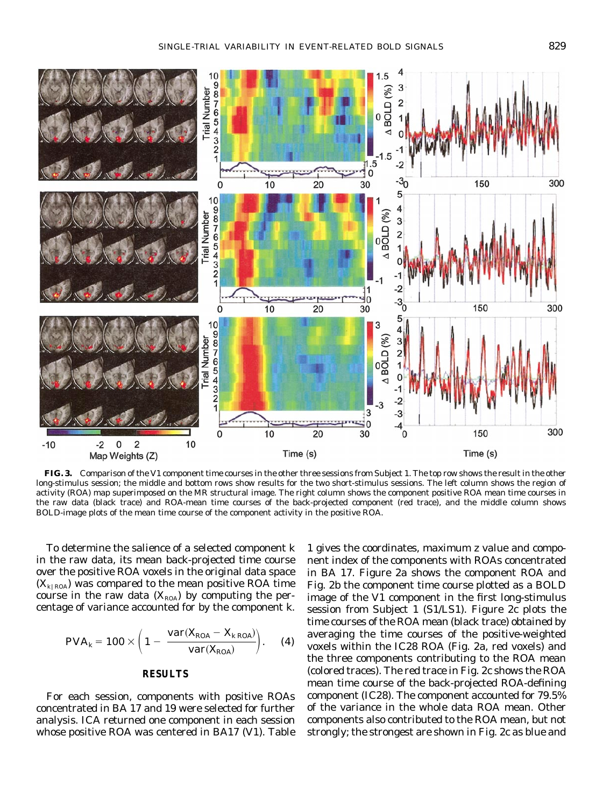

**FIG. 3.** Comparison of the V1 component time courses in the other three sessions from Subject 1. The top row shows the result in the other long-stimulus session; the middle and bottom rows show results for the two short-stimulus sessions. The left column shows the region of activity (ROA) map superimposed on the MR structural image. The right column shows the component positive ROA mean time courses in the raw data (black trace) and ROA-mean time courses of the back-projected component (red trace), and the middle column shows BOLD-image plots of the mean time course of the component activity in the positive ROA.

To determine the salience of a selected component *k* in the raw data, its mean back-projected time course over the positive ROA voxels in the original data space  $(X_{k|_{\text{ROA}}})$  was compared to the mean positive ROA time course in the raw data  $(X_{\text{ROA}})$  by computing the percentage of variance accounted for by the component *k.*

$$
PVA_k = 100 \times \bigg(1 - \frac{\text{var}(X_{\text{ROA}} - X_{k\text{ROA}})}{\text{var}(X_{\text{ROA}})}\bigg). \qquad (4)
$$

## **RESULTS**

For each session, components with positive ROAs concentrated in BA 17 and 19 were selected for further analysis. ICA returned one component in each session whose positive ROA was centered in BA17 (V1). Table 1 gives the coordinates, maximum *z* value and component index of the components with ROAs concentrated in BA 17. Figure 2a shows the component ROA and Fig. 2b the component time course plotted as a BOLD image of the V1 component in the first long-stimulus session from Subject 1 (S1/LS1). Figure 2c plots the time courses of the ROA mean (black trace) obtained by averaging the time courses of the positive-weighted voxels within the IC28 ROA (Fig. 2a, red voxels) and the three components contributing to the ROA mean (colored traces). The red trace in Fig. 2c shows the ROA mean time course of the back-projected ROA-defining component (IC28). The component accounted for 79.5% of the variance in the whole data ROA mean. Other components also contributed to the ROA mean, but not strongly; the strongest are shown in Fig. 2c as blue and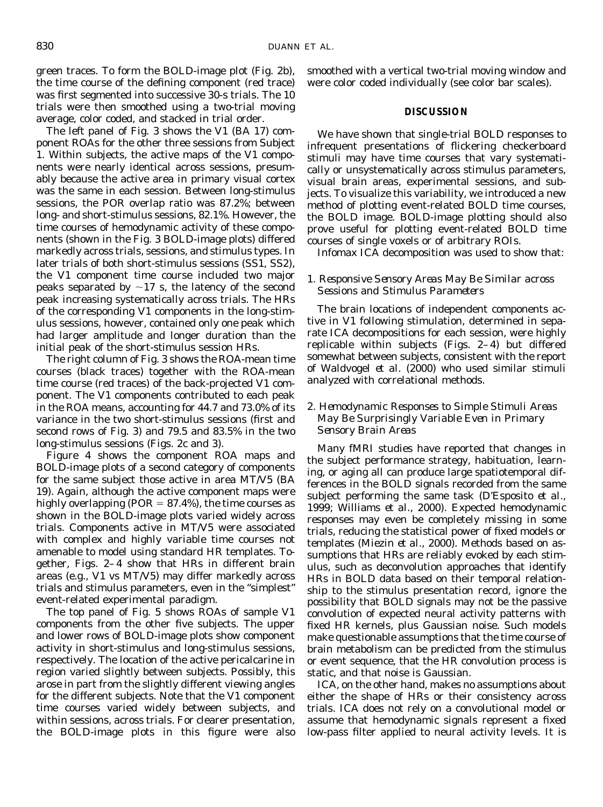green traces. To form the BOLD-image plot (Fig. 2b), the time course of the defining component (red trace) was first segmented into successive 30-s trials. The 10 trials were then smoothed using a two-trial moving average, color coded, and stacked in trial order.

The left panel of Fig. 3 shows the V1 (BA 17) component ROAs for the other three sessions from Subject 1. Within subjects, the active maps of the V1 components were nearly identical across sessions, presumably because the active area in primary visual cortex was the same in each session. Between long-stimulus sessions, the POR overlap ratio was 87.2%; between long- and short-stimulus sessions, 82.1%. However, the time courses of hemodynamic activity of these components (shown in the Fig. 3 BOLD-image plots) differed markedly across trials, sessions, and stimulus types. In later trials of both short-stimulus sessions (SS1, SS2), the V1 component time course included two major peaks separated by  $\sim$ 17 s, the latency of the second peak increasing systematically across trials. The HRs of the corresponding V1 components in the long-stimulus sessions, however, contained only one peak which had larger amplitude and longer duration than the initial peak of the short-stimulus session HRs.

The right column of Fig. 3 shows the ROA-mean time courses (black traces) together with the ROA-mean time course (red traces) of the back-projected V1 component. The V1 components contributed to each peak in the ROA means, accounting for 44.7 and 73.0% of its variance in the two short-stimulus sessions (first and second rows of Fig. 3) and 79.5 and 83.5% in the two long-stimulus sessions (Figs. 2c and 3).

Figure 4 shows the component ROA maps and BOLD-image plots of a second category of components for the same subject those active in area MT/V5 (BA 19). Again, although the active component maps were highly overlapping ( $POR = 87.4\%$ ), the time courses as shown in the BOLD-image plots varied widely across trials. Components active in MT/V5 were associated with complex and highly variable time courses not amenable to model using standard HR templates. Together, Figs. 2–4 show that HRs in different brain areas (e.g., V1 vs MT/V5) may differ markedly across trials and stimulus parameters, even in the "simplest" event-related experimental paradigm.

The top panel of Fig. 5 shows ROAs of sample V1 components from the other five subjects. The upper and lower rows of BOLD-image plots show component activity in short-stimulus and long-stimulus sessions, respectively. The location of the active pericalcarine in region varied slightly between subjects. Possibly, this arose in part from the slightly different viewing angles for the different subjects. Note that the V1 component time courses varied widely between subjects, and within sessions, across trials. For clearer presentation, the BOLD-image plots in this figure were also smoothed with a vertical two-trial moving window and were color coded individually (see color bar scales).

## **DISCUSSION**

We have shown that single-trial BOLD responses to infrequent presentations of flickering checkerboard stimuli may have time courses that vary systematically or unsystematically across stimulus parameters, visual brain areas, experimental sessions, and subjects. To visualize this variability, we introduced a new method of plotting event-related BOLD time courses, the BOLD image. BOLD-image plotting should also prove useful for plotting event-related BOLD time courses of single voxels or of arbitrary ROIs.

Infomax ICA decomposition was used to show that:

# *1. Responsive Sensory Areas May Be Similar across Sessions and Stimulus Parameters*

The brain locations of independent components active in V1 following stimulation, determined in separate ICA decompositions for each session, were highly replicable within subjects (Figs. 2–4) but differed somewhat between subjects, consistent with the report of Waldvogel *et al.* (2000) who used similar stimuli analyzed with correlational methods.

## *2. Hemodynamic Responses to Simple Stimuli Areas May Be Surprisingly Variable Even in Primary Sensory Brain Areas*

Many fMRI studies have reported that changes in the subject performance strategy, habituation, learning, or aging all can produce large spatiotemporal differences in the BOLD signals recorded from the same subject performing the same task (D'Esposito *et al.*, 1999; Williams *et al.*, 2000). Expected hemodynamic responses may even be completely missing in some trials, reducing the statistical power of fixed models or templates (Miezin *et al.*, 2000). Methods based on assumptions that HRs are reliably evoked by each stimulus, such as deconvolution approaches that identify HRs in BOLD data based on their temporal relationship to the stimulus presentation record, ignore the possibility that BOLD signals may not be the passive convolution of expected neural activity patterns with fixed HR kernels, plus Gaussian noise. Such models make questionable assumptions that the time course of brain metabolism can be predicted from the stimulus or event sequence, that the HR convolution process is static, and that noise is Gaussian.

ICA, on the other hand, makes no assumptions about either the shape of HRs or their consistency across trials. ICA does not rely on a convolutional model or assume that hemodynamic signals represent a fixed low-pass filter applied to neural activity levels. It is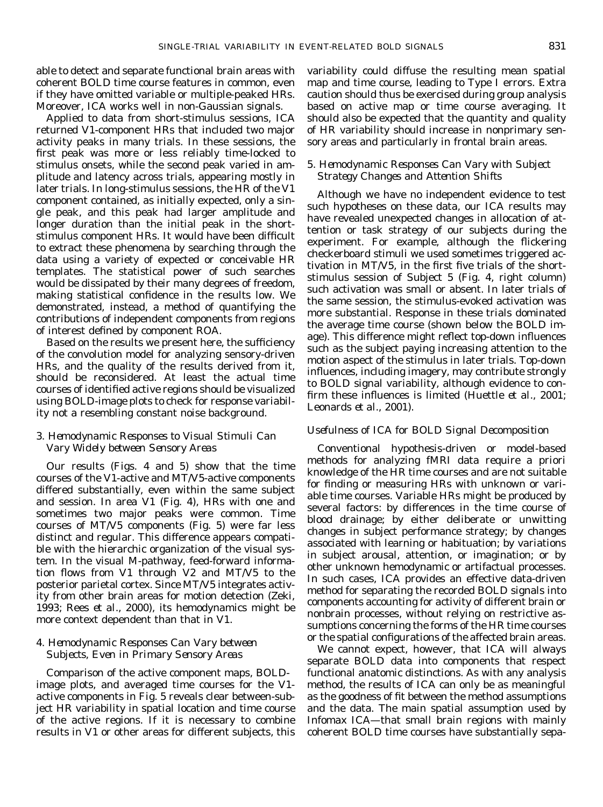able to detect and separate functional brain areas with coherent BOLD time course features in common, even if they have omitted variable or multiple-peaked HRs. Moreover, ICA works well in non-Gaussian signals.

Applied to data from short-stimulus sessions, ICA returned V1-component HRs that included two major activity peaks in many trials. In these sessions, the first peak was more or less reliably time-locked to stimulus onsets, while the second peak varied in amplitude and latency across trials, appearing mostly in later trials. In long-stimulus sessions, the HR of the V1 component contained, as initially expected, only a single peak, and this peak had larger amplitude and longer duration than the initial peak in the shortstimulus component HRs. It would have been difficult to extract these phenomena by searching through the data using a variety of expected or conceivable HR templates. The statistical power of such searches would be dissipated by their many degrees of freedom, making statistical confidence in the results low. We demonstrated, instead, a method of quantifying the contributions of independent components from regions of interest defined by component ROA.

Based on the results we present here, the sufficiency of the convolution model for analyzing sensory-driven HRs, and the quality of the results derived from it, should be reconsidered. At least the actual time courses of identified active regions should be visualized using BOLD-image plots to check for response variability not a resembling constant noise background.

# *3. Hemodynamic Responses to Visual Stimuli Can Vary Widely between Sensory Areas*

Our results (Figs. 4 and 5) show that the time courses of the V1-active and MT/V5-active components differed substantially, even within the same subject and session. In area V1 (Fig. 4), HRs with one and sometimes two major peaks were common. Time courses of MT/V5 components (Fig. 5) were far less distinct and regular. This difference appears compatible with the hierarchic organization of the visual system. In the visual M-pathway, feed-forward information flows from V1 through V2 and MT/V5 to the posterior parietal cortex. Since MT/V5 integrates activity from other brain areas for motion detection (Zeki, 1993; Rees *et al.*, 2000), its hemodynamics might be more context dependent than that in V1.

# *4. Hemodynamic Responses Can Vary between Subjects, Even in Primary Sensory Areas*

Comparison of the active component maps, BOLDimage plots, and averaged time courses for the V1 active components in Fig. 5 reveals clear between-subject HR variability in spatial location and time course of the active regions. If it is necessary to combine results in V1 or other areas for different subjects, this variability could diffuse the resulting mean spatial map and time course, leading to Type I errors. Extra caution should thus be exercised during group analysis based on active map or time course averaging. It should also be expected that the quantity and quality of HR variability should increase in nonprimary sensory areas and particularly in frontal brain areas.

# *5. Hemodynamic Responses Can Vary with Subject Strategy Changes and Attention Shifts*

Although we have no independent evidence to test such hypotheses on these data, our ICA results may have revealed unexpected changes in allocation of attention or task strategy of our subjects during the experiment. For example, although the flickering checkerboard stimuli we used sometimes triggered activation in MT/V5, in the first five trials of the shortstimulus session of Subject 5 (Fig. 4, right column) such activation was small or absent. In later trials of the same session, the stimulus-evoked activation was more substantial. Response in these trials dominated the average time course (shown below the BOLD image). This difference might reflect top-down influences such as the subject paying increasing attention to the motion aspect of the stimulus in later trials. Top-down influences, including imagery, may contribute strongly to BOLD signal variability, although evidence to confirm these influences is limited (Huettle *et al.*, 2001; Leonards *et al.*, 2001).

# *Usefulness of ICA for BOLD Signal Decomposition*

Conventional hypothesis-driven or model-based methods for analyzing fMRI data require *a priori* knowledge of the HR time courses and are not suitable for finding or measuring HRs with unknown or variable time courses. Variable HRs might be produced by several factors: by differences in the time course of blood drainage; by either deliberate or unwitting changes in subject performance strategy; by changes associated with learning or habituation; by variations in subject arousal, attention, or imagination; or by other unknown hemodynamic or artifactual processes. In such cases, ICA provides an effective data-driven method for separating the recorded BOLD signals into components accounting for activity of different brain or nonbrain processes, without relying on restrictive assumptions concerning the forms of the HR time courses or the spatial configurations of the affected brain areas.

We cannot expect, however, that ICA will always separate BOLD data into components that respect functional anatomic distinctions. As with any analysis method, the results of ICA can only be as meaningful as the goodness of fit between the method assumptions and the data. The main spatial assumption used by Infomax ICA—that small brain regions with mainly coherent BOLD time courses have substantially sepa-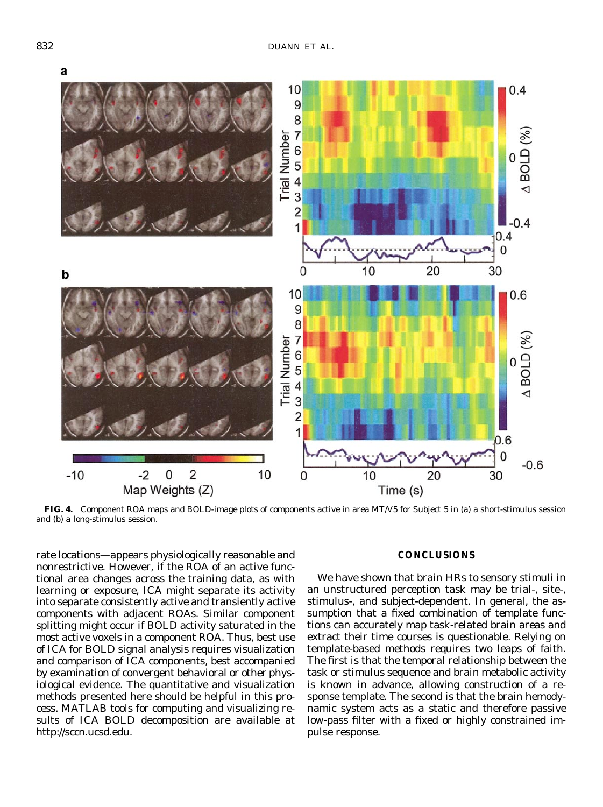

**FIG. 4.** Component ROA maps and BOLD-image plots of components active in area MT/V5 for Subject 5 in (a) a short-stimulus session and (b) a long-stimulus session.

rate locations—appears physiologically reasonable and nonrestrictive. However, if the ROA of an active functional area changes across the training data, as with learning or exposure, ICA might separate its activity into separate consistently active and transiently active components with adjacent ROAs. Similar component splitting might occur if BOLD activity saturated in the most active voxels in a component ROA. Thus, best use of ICA for BOLD signal analysis requires visualization and comparison of ICA components, best accompanied by examination of convergent behavioral or other physiological evidence. The quantitative and visualization methods presented here should be helpful in this process. MATLAB tools for computing and visualizing results of ICA BOLD decomposition are available at http://sccn.ucsd.edu.

#### **CONCLUSIONS**

We have shown that brain HRs to sensory stimuli in an unstructured perception task may be trial-, site-, stimulus-, and subject-dependent. In general, the assumption that a fixed combination of template functions can accurately map task-related brain areas and extract their time courses is questionable. Relying on template-based methods requires two leaps of faith. The first is that the temporal relationship between the task or stimulus sequence and brain metabolic activity is known in advance, allowing construction of a response template. The second is that the brain hemodynamic system acts as a static and therefore passive low-pass filter with a fixed or highly constrained impulse response.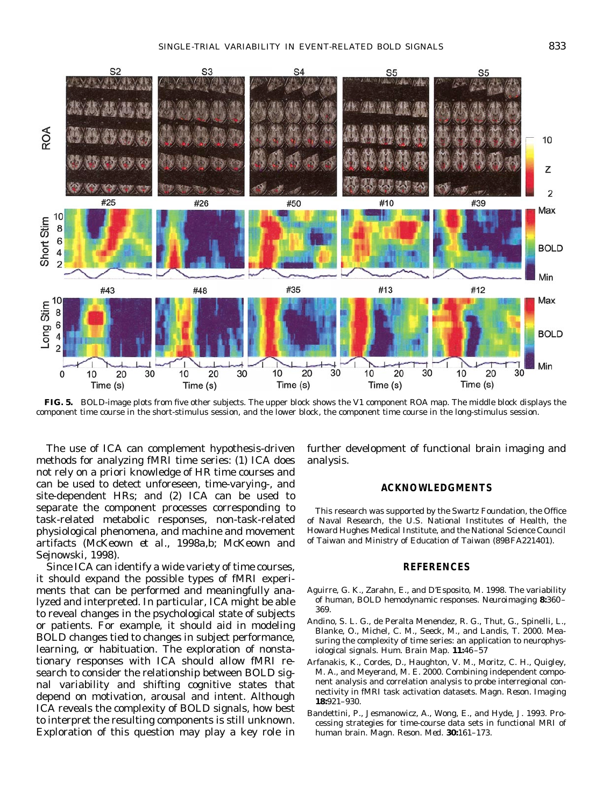

**FIG. 5.** BOLD-image plots from five other subjects. The upper block shows the V1 component ROA map. The middle block displays the component time course in the short-stimulus session, and the lower block, the component time course in the long-stimulus session.

The use of ICA can complement hypothesis-driven methods for analyzing fMRI time series: (1) ICA does not rely on *a priori* knowledge of HR time courses and can be used to detect unforeseen, time-varying-, and site-dependent HRs; and (2) ICA can be used to separate the component processes corresponding to task-related metabolic responses, non-task-related physiological phenomena, and machine and movement artifacts (McKeown *et al.*, 1998a,b; McKeown and Sejnowski, 1998).

Since ICA can identify a wide variety of time courses, it should expand the possible types of fMRI experiments that can be performed and meaningfully analyzed and interpreted. In particular, ICA might be able to reveal changes in the psychological state of subjects or patients. For example, it should aid in modeling BOLD changes tied to changes in subject performance, learning, or habituation. The exploration of nonstationary responses with ICA should allow fMRI research to consider the relationship between BOLD signal variability and shifting cognitive states that depend on motivation, arousal and intent. Although ICA reveals the complexity of BOLD signals, how best to interpret the resulting components is still unknown. Exploration of this question may play a key role in further development of functional brain imaging and analysis.

#### **ACKNOWLEDGMENTS**

This research was supported by the Swartz Foundation, the Office of Naval Research, the U.S. National Institutes of Health, the Howard Hughes Medical Institute, and the National Science Council of Taiwan and Ministry of Education of Taiwan (89BFA221401).

#### **REFERENCES**

- Aguirre, G. K., Zarahn, E., and D'Esposito, M. 1998. The variability of human, BOLD hemodynamic responses. *Neuroimaging* **8:**360– 369.
- Andino, S. L. G., de Peralta Menendez, R. G., Thut, G., Spinelli, L., Blanke, O., Michel, C. M., Seeck, M., and Landis, T. 2000. Measuring the complexity of time series: an application to neurophysiological signals. *Hum. Brain Map.* **11:**46–57
- Arfanakis, K., Cordes, D., Haughton, V. M., Moritz, C. H., Quigley, M. A., and Meyerand, M. E. 2000. Combining independent component analysis and correlation analysis to probe interregional connectivity in fMRI task activation datasets. *Magn. Reson. Imaging* **18:**921–930.
- Bandettini, P., Jesmanowicz, A., Wong, E., and Hyde, J. 1993. Processing strategies for time-course data sets in functional MRI of human brain. *Magn. Reson. Med.* **30:**161–173.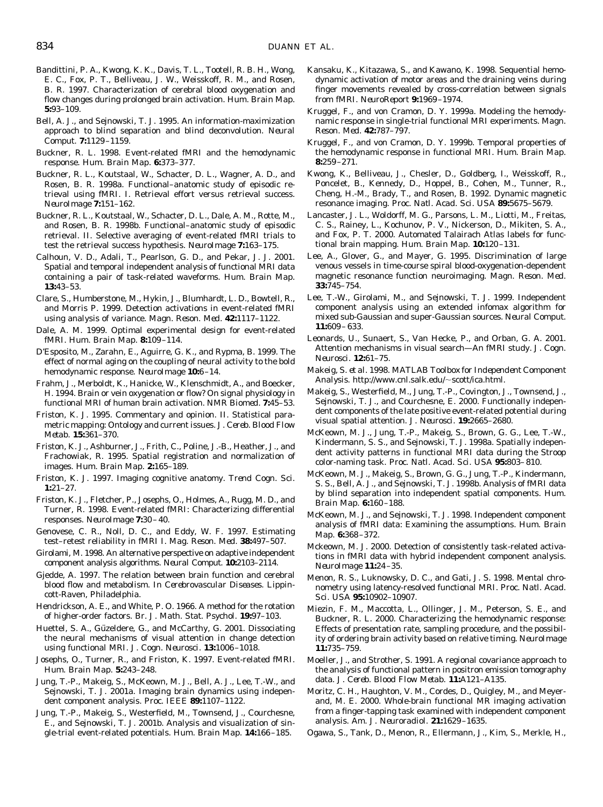- Bandittini, P. A., Kwong, K. K., Davis, T. L., Tootell, R. B. H., Wong, E. C., Fox, P. T., Belliveau, J. W., Weisskoff, R. M., and Rosen, B. R. 1997. Characterization of cerebral blood oxygenation and flow changes during prolonged brain activation. *Hum. Brain Map.* **5:**93–109.
- Bell, A. J., and Sejnowski, T. J. 1995. An information-maximization approach to blind separation and blind deconvolution. *Neural Comput.* **7:**1129–1159.
- Buckner, R. L. 1998. Event-related fMRI and the hemodynamic response. *Hum. Brain Map.* **6:**373–377.
- Buckner, R. L., Koutstaal, W., Schacter, D. L., Wagner, A. D., and Rosen, B. R. 1998a. Functional–anatomic study of episodic retrieval using fMRI. I. Retrieval effort versus retrieval success. *NeuroImage* **7:**151–162.
- Buckner, R. L., Koutstaal, W., Schacter, D. L., Dale, A. M., Rotte, M., and Rosen, B. R. 1998b. Functional–anatomic study of episodic retrieval. II. Selective averaging of event-related fMRI trials to test the retrieval success hypothesis. *NeuroImage* **7:**163–175.
- Calhoun, V. D., Adali, T., Pearlson, G. D., and Pekar, J. J. 2001. Spatial and temporal independent analysis of functional MRI data containing a pair of task-related waveforms. *Hum. Brain Map.* **13:**43–53.
- Clare, S., Humberstone, M., Hykin, J., Blumhardt, L. D., Bowtell, R., and Morris P. 1999. Detection activations in event-related fMRI using analysis of variance. *Magn. Reson. Med.* **42:**1117–1122.
- Dale, A. M. 1999. Optimal experimental design for event-related fMRI. *Hum. Brain Map.* **8:**109–114.
- D'Esposito, M., Zarahn, E., Aguirre, G. K., and Rypma, B. 1999. The effect of normal aging on the coupling of neural activity to the bold hemodynamic response. *NeuroImage* **10:**6–14.
- Frahm, J., Merboldt, K., Hanicke, W., Klenschmidt, A., and Boecker, H. 1994. Brain or vein oxygenation or flow? On signal physiology in functional MRI of human brain activation. *NMR Biomed.* **7:**45–53.
- Friston, K. J. 1995. Commentary and opinion. II. Statistical parametric mapping: Ontology and current issues. *J. Cereb. Blood Flow Metab.* **15:**361–370.
- Friston, K. J., Ashburner, J., Frith, C., Poline, J.-B., Heather, J., and Frachowiak, R. 1995. Spatial registration and normalization of images. *Hum. Brain Map.* **2:**165–189.
- Friston, K. J. 1997. Imaging cognitive anatomy. *Trend Cogn. Sci.* **1:**21–27.
- Friston, K. J., Fletcher, P., Josephs, O., Holmes, A., Rugg, M. D., and Turner, R. 1998. Event-related fMRI: Characterizing differential responses. *NeuroImage* **7:**30–40.
- Genovese, C. R., Noll, D. C., and Eddy, W. F. 1997. Estimating test–retest reliability in fMRI I. *Mag. Reson. Med.* **38:**497–507.
- Girolami, M. 1998. An alternative perspective on adaptive independent component analysis algorithms. *Neural Comput.* **10:**2103–2114.
- Gjedde, A. 1997. The relation between brain function and cerebral blood flow and metabolism. In *Cerebrovascular Diseases.* Lippincott-Raven, Philadelphia.
- Hendrickson, A. E., and White, P. O. 1966. A method for the rotation of higher-order factors. *Br. J. Math. Stat. Psychol.* **19:**97–103.
- Huettel, S. A., Güzeldere, G., and McCarthy, G. 2001. Dissociating the neural mechanisms of visual attention in change detection using functional MRI. *J. Cogn. Neurosci.* **13:**1006–1018.
- Josephs, O., Turner, R., and Friston, K. 1997. Event-related fMRI. *Hum. Brain Map.* **5:**243–248.
- Jung, T.-P., Makeig, S., McKeown, M. J., Bell, A. J., Lee, T.-W., and Sejnowski, T. J. 2001a. Imaging brain dynamics using independent component analysis. *Proc. IEEE* **89:**1107–1122.
- Jung, T.-P., Makeig, S., Westerfield, M., Townsend, J., Courchesne, E., and Sejnowski, T. J. 2001b. Analysis and visualization of single-trial event-related potentials. *Hum. Brain Map.* **14:**166–185.
- Kansaku, K., Kitazawa, S., and Kawano, K. 1998. Sequential hemodynamic activation of motor areas and the draining veins during finger movements revealed by cross-correlation between signals from fMRI. *NeuroReport* **9:**1969–1974.
- Kruggel, F., and von Cramon, D. Y. 1999a. Modeling the hemodynamic response in single-trial functional MRI experiments. *Magn. Reson. Med.* **42:**787–797.
- Kruggel, F., and von Cramon, D. Y. 1999b. Temporal properties of the hemodynamic response in functional MRI. *Hum. Brain Map.* **8:**259–271.
- Kwong, K., Belliveau, J., Chesler, D., Goldberg, I., Weisskoff, R., Poncelet, B., Kennedy, D., Hoppel, B., Cohen, M., Tunner, R., Cheng, H.-M., Brady, T., and Rosen, B. 1992. Dynamic magnetic resonance imaging. *Proc. Natl. Acad. Sci. USA* **89:**5675–5679.
- Lancaster, J. L., Woldorff, M. G., Parsons, L. M., Liotti, M., Freitas, C. S., Rainey, L., Kochunov, P. V., Nickerson, D., Mikiten, S. A., and Fox, P. T. 2000. Automated Talairach Atlas labels for functional brain mapping. *Hum. Brain Map.* **10:**120–131.
- Lee, A., Glover, G., and Mayer, G. 1995. Discrimination of large venous vessels in time-course spiral blood-oxygenation-dependent magnetic resonance function neuroimaging. *Magn. Reson. Med.* **33:**745–754.
- Lee, T.-W., Girolami, M., and Sejnowski, T. J. 1999. Independent component analysis using an extended infomax algorithm for mixed sub-Gaussian and super-Gaussian sources. *Neural Comput.* **11:**609–633.
- Leonards, U., Sunaert, S., Van Hecke, P., and Orban, G. A. 2001. Attention mechanisms in visual search—An fMRI study. *J. Cogn. Neurosci.* **12:**61–75.
- Makeig, S. *et al.* 1998. *MATLAB Toolbox for Independent Component* Analysis. http://www.cnl.salk.edu/~scott/ica.html.
- Makeig, S., Westerfield, M., Jung, T.-P., Covington, J., Townsend, J., Sejnowski, T. J., and Courchesne, E. 2000. Functionally independent components of the late positive event-related potential during visual spatial attention. *J. Neurosci.* **19:**2665–2680.
- McKeown, M. J., Jung, T.-P., Makeig, S., Brown, G. G., Lee, T.-W., Kindermann, S. S., and Sejnowski, T. J. 1998a. Spatially independent activity patterns in functional MRI data during the Stroop color-naming task. *Proc. Natl. Acad. Sci. USA* **95:**803–810.
- McKeown, M. J., Makeig, S., Brown, G. G., Jung, T.-P., Kindermann, S. S., Bell, A. J., and Sejnowski, T. J. 1998b. Analysis of fMRI data by blind separation into independent spatial components. *Hum. Brain Map.* **6:**160–188.
- McKeown, M. J., and Sejnowski, T. J. 1998. Independent component analysis of fMRI data: Examining the assumptions. *Hum. Brain Map.* **6:**368–372.
- Mckeown, M. J. 2000. Detection of consistently task-related activations in fMRI data with hybrid independent component analysis. *NeuroImage* **11:**24–35.
- Menon, R. S., Luknowsky, D. C., and Gati, J. S. 1998. Mental chronometry using latency-resolved functional MRI. *Proc. Natl. Acad. Sci. USA* **95:**10902–10907.
- Miezin, F. M., Maccotta, L., Ollinger, J. M., Peterson, S. E., and Buckner, R. L. 2000. Characterizing the hemodynamic response: Effects of presentation rate, sampling procedure, and the possibility of ordering brain activity based on relative timing. *NeuroImage* **11:**735–759.
- Moeller, J., and Strother, S. 1991. A regional covariance approach to the analysis of functional pattern in positron emission tomography data. *J. Cereb. Blood Flow Metab.* **11:**A121–A135.
- Moritz, C. H., Haughton, V. M., Cordes, D., Quigley, M., and Meyerand, M. E. 2000. Whole-brain functional MR imaging activation from a finger-tapping task examined with independent component analysis. *Am. J. Neuroradiol.* **21:**1629–1635.
- Ogawa, S., Tank, D., Menon, R., Ellermann, J., Kim, S., Merkle, H.,